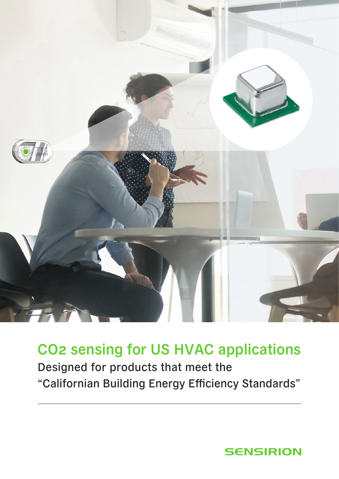

## CO2 sensing for US HVAC applications

Designed for products that meet the "Californian Building Energy Efficiency Standards"